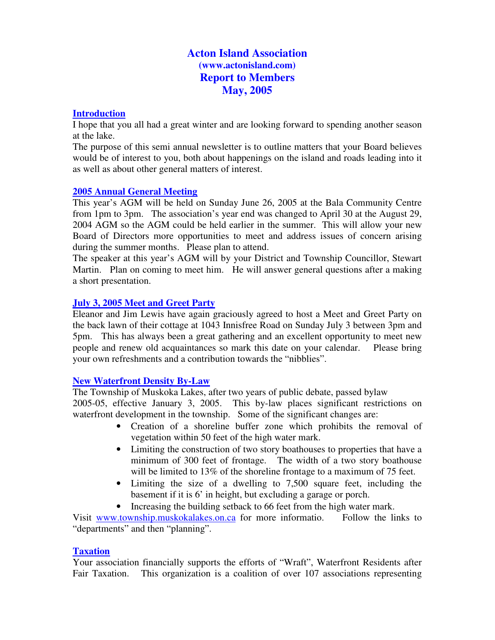# **Acton Island Association (www.actonisland.com) Report to Members May, 2005**

### **Introduction**

I hope that you all had a great winter and are looking forward to spending another season at the lake.

The purpose of this semi annual newsletter is to outline matters that your Board believes would be of interest to you, both about happenings on the island and roads leading into it as well as about other general matters of interest.

### **2005 Annual General Meeting**

This year's AGM will be held on Sunday June 26, 2005 at the Bala Community Centre from 1pm to 3pm. The association's year end was changed to April 30 at the August 29, 2004 AGM so the AGM could be held earlier in the summer. This will allow your new Board of Directors more opportunities to meet and address issues of concern arising during the summer months. Please plan to attend.

The speaker at this year's AGM will by your District and Township Councillor, Stewart Martin. Plan on coming to meet him. He will answer general questions after a making a short presentation.

## **July 3, 2005 Meet and Greet Party**

Eleanor and Jim Lewis have again graciously agreed to host a Meet and Greet Party on the back lawn of their cottage at 1043 Innisfree Road on Sunday July 3 between 3pm and 5pm. This has always been a great gathering and an excellent opportunity to meet new people and renew old acquaintances so mark this date on your calendar. Please bring your own refreshments and a contribution towards the "nibblies".

### **New Waterfront Density By-Law**

The Township of Muskoka Lakes, after two years of public debate, passed bylaw

2005-05, effective January 3, 2005. This by-law places significant restrictions on waterfront development in the township. Some of the significant changes are:

- Creation of a shoreline buffer zone which prohibits the removal of vegetation within 50 feet of the high water mark.
- Limiting the construction of two story boathouses to properties that have a minimum of 300 feet of frontage. The width of a two story boathouse will be limited to 13% of the shoreline frontage to a maximum of 75 feet.
- Limiting the size of a dwelling to 7,500 square feet, including the basement if it is 6' in height, but excluding a garage or porch.
- Increasing the building setback to 66 feet from the high water mark.

Visit www.township.muskokalakes.on.ca for more informatio. Follow the links to "departments" and then "planning".

### **Taxation**

Your association financially supports the efforts of "Wraft", Waterfront Residents after Fair Taxation. This organization is a coalition of over 107 associations representing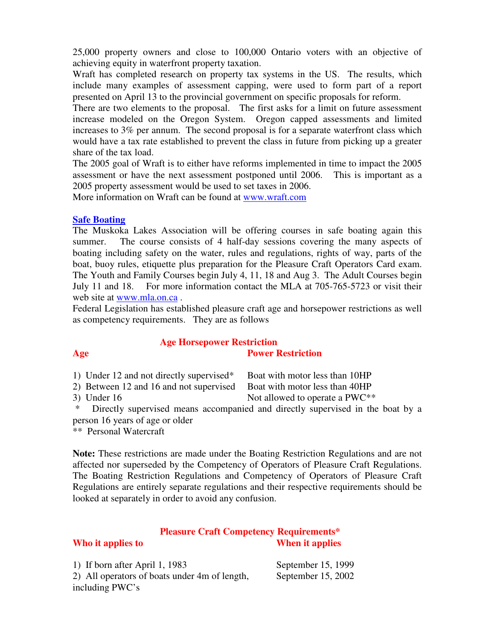25,000 property owners and close to 100,000 Ontario voters with an objective of achieving equity in waterfront property taxation.

Wraft has completed research on property tax systems in the US. The results, which include many examples of assessment capping, were used to form part of a report presented on April 13 to the provincial government on specific proposals for reform.

There are two elements to the proposal. The first asks for a limit on future assessment increase modeled on the Oregon System. Oregon capped assessments and limited increases to 3% per annum. The second proposal is for a separate waterfront class which would have a tax rate established to prevent the class in future from picking up a greater share of the tax load.

The 2005 goal of Wraft is to either have reforms implemented in time to impact the 2005 assessment or have the next assessment postponed until 2006. This is important as a 2005 property assessment would be used to set taxes in 2006.

More information on Wraft can be found at www.wraft.com

### **Safe Boating**

The Muskoka Lakes Association will be offering courses in safe boating again this summer. The course consists of 4 half-day sessions covering the many aspects of boating including safety on the water, rules and regulations, rights of way, parts of the boat, buoy rules, etiquette plus preparation for the Pleasure Craft Operators Card exam. The Youth and Family Courses begin July 4, 11, 18 and Aug 3. The Adult Courses begin July 11 and 18. For more information contact the MLA at 705-765-5723 or visit their web site at www.mla.on.ca .

Federal Legislation has established pleasure craft age and horsepower restrictions as well as competency requirements. They are as follows

### **Age Horsepower Restriction Age Power Restriction**

1) Under 12 and not directly supervised\* Boat with motor less than 10HP

2) Between 12 and 16 and not supervised Boat with motor less than 40HP

3) Under 16 Not allowed to operate a PWC $**$ 

Directly supervised means accompanied and directly supervised in the boat by a person 16 years of age or older

\*\* Personal Watercraft

**Note:** These restrictions are made under the Boating Restriction Regulations and are not affected nor superseded by the Competency of Operators of Pleasure Craft Regulations. The Boating Restriction Regulations and Competency of Operators of Pleasure Craft Regulations are entirely separate regulations and their respective requirements should be looked at separately in order to avoid any confusion.

### **Pleasure Craft Competency Requirements\* Who it applies to When it applies**

1) If born after April 1, 1983 September 15, 1999 2) All operators of boats under 4m of length, September 15, 2002 including PWC's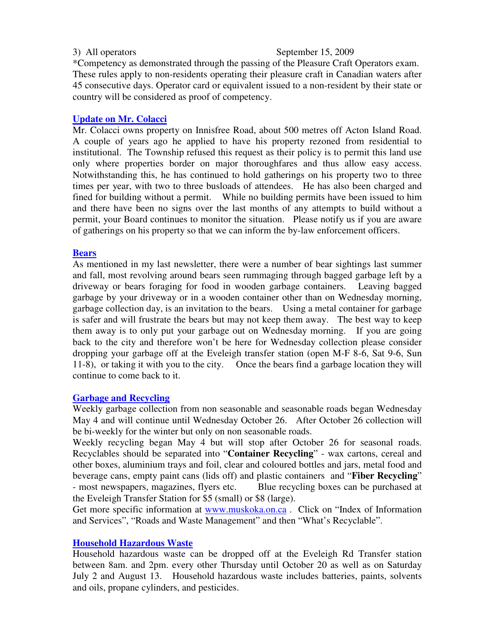### 3) All operators September 15, 2009

\*Competency as demonstrated through the passing of the Pleasure Craft Operators exam. These rules apply to non-residents operating their pleasure craft in Canadian waters after 45 consecutive days. Operator card or equivalent issued to a non-resident by their state or country will be considered as proof of competency.

### **Update on Mr. Colacci**

Mr. Colacci owns property on Innisfree Road, about 500 metres off Acton Island Road. A couple of years ago he applied to have his property rezoned from residential to institutional. The Township refused this request as their policy is to permit this land use only where properties border on major thoroughfares and thus allow easy access. Notwithstanding this, he has continued to hold gatherings on his property two to three times per year, with two to three busloads of attendees. He has also been charged and fined for building without a permit. While no building permits have been issued to him and there have been no signs over the last months of any attempts to build without a permit, your Board continues to monitor the situation. Please notify us if you are aware of gatherings on his property so that we can inform the by-law enforcement officers.

### **Bears**

As mentioned in my last newsletter, there were a number of bear sightings last summer and fall, most revolving around bears seen rummaging through bagged garbage left by a driveway or bears foraging for food in wooden garbage containers. Leaving bagged garbage by your driveway or in a wooden container other than on Wednesday morning, garbage collection day, is an invitation to the bears. Using a metal container for garbage is safer and will frustrate the bears but may not keep them away. The best way to keep them away is to only put your garbage out on Wednesday morning. If you are going back to the city and therefore won't be here for Wednesday collection please consider dropping your garbage off at the Eveleigh transfer station (open M-F 8-6, Sat 9-6, Sun 11-8), or taking it with you to the city. Once the bears find a garbage location they will continue to come back to it.

### **Garbage and Recycling**

Weekly garbage collection from non seasonable and seasonable roads began Wednesday May 4 and will continue until Wednesday October 26. After October 26 collection will be bi-weekly for the winter but only on non seasonable roads.

Weekly recycling began May 4 but will stop after October 26 for seasonal roads. Recyclables should be separated into "**Container Recycling**" - wax cartons, cereal and other boxes, aluminium trays and foil, clear and coloured bottles and jars, metal food and beverage cans, empty paint cans (lids off) and plastic containers and "**Fiber Recycling**" - most newspapers, magazines, flyers etc. Blue recycling boxes can be purchased at the Eveleigh Transfer Station for \$5 (small) or \$8 (large).

Get more specific information at www.muskoka.on.ca . Click on "Index of Information and Services", "Roads and Waste Management" and then "What's Recyclable".

### **Household Hazardous Waste**

Household hazardous waste can be dropped off at the Eveleigh Rd Transfer station between 8am. and 2pm. every other Thursday until October 20 as well as on Saturday July 2 and August 13. Household hazardous waste includes batteries, paints, solvents and oils, propane cylinders, and pesticides.